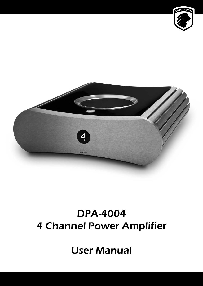



# DPA-4004 4 Channel Power Amplifier

User Manual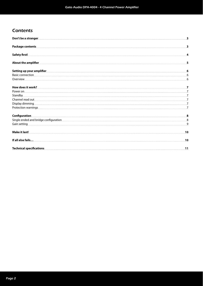# **Contents**

| Don't be a stranger <b>contract to the contract of the contract of the contract of the contract of the contract of the contract of the contract of the contract of the contract of the contract of the contract of the contract </b> | 3                       |
|--------------------------------------------------------------------------------------------------------------------------------------------------------------------------------------------------------------------------------------|-------------------------|
| Package contents <b>contents and contents and contents and content</b> and content and contents are contents and contents are contents and contents are contents and contents are contents and contents are contents and contents a  | $\overline{\mathbf{3}}$ |
| <b>Safety first!</b>                                                                                                                                                                                                                 | 4                       |
| About the amplifier <b>the emplifier and the contract of the contract of the contract of the contract of the contract of the contract of the contract of the contract of the contract of the contract of the contract of the con</b> | 5                       |
| Setting up your amplifier                                                                                                                                                                                                            | 6                       |
|                                                                                                                                                                                                                                      |                         |
| Overview                                                                                                                                                                                                                             | 6                       |
|                                                                                                                                                                                                                                      |                         |
|                                                                                                                                                                                                                                      |                         |
|                                                                                                                                                                                                                                      |                         |
|                                                                                                                                                                                                                                      | . 7.                    |
|                                                                                                                                                                                                                                      |                         |
| Protection warnings                                                                                                                                                                                                                  |                         |
| <b>Configuration</b>                                                                                                                                                                                                                 |                         |
| Single ended and bridge configuration entertainment and a state of the state of the state of the state of the state of the state of the state of the state of the state of the state of the state of the state of the state of       | 8                       |
| Gain setting                                                                                                                                                                                                                         | 9                       |
| <b>Make it last!</b>                                                                                                                                                                                                                 | 10                      |
| If all else fails                                                                                                                                                                                                                    | 10                      |
|                                                                                                                                                                                                                                      | 11                      |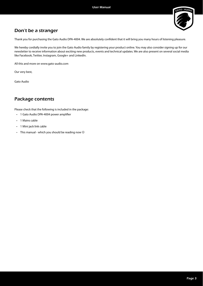

# Don't be a stranger

Thank you for purchasing the Gato Audio DPA-4004. We are absolutely confident that it will bring you many hours of listening pleasure.

We hereby cordially invite you to join the Gato Audio family by registering your product online. You may also consider signing up for our newsletter to receive information about exciting new products, events and technical updates. We are also present on several social media like Facebook, Twitter, Instagram, Google+ and LinkedIn.

All this and more on www.gato-audio.com

Our very best,

Gato Audio

# Package contents

Please check that the following is included in the package:

- 1 Gato Audio DPA-4004 power amplifier
- 1 Mains cable
- 1 Mini jack link cable
- This manual which you should be reading now  $\odot$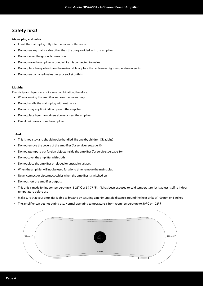# Safety first!

#### **Mains plug and cable:**

- Insert the mains plug fully into the mains outlet socket
- Do not use any mains cable other than the one provided with this amplifier
- Do not defeat the ground connection
- Do not move the amplifier around while it is connected to mains
- Do not place heavy objects on the mains cable or place the cable near high-temperature objects
- Do not use damaged mains plugs or socket outlets

#### **Liquids:**

Electricity and liquids are not a safe combination, therefore:

- When cleaning the amplifier, remove the mains plug
- Do not handle the mains plug with wet hands
- Do not spray any liquid directly onto the amplifier
- Do not place liquid containers above or near the amplifier
- $\cdot$  Keep liquids away from the amplifier

#### **…And:**

- This is not a toy and should not be handled like one (by children OR adults)
- Do not remove the covers of the amplifier (for service see page 10)
- Do not attempt to put foreign objects inside the amplifier (for service see page 10)
- $\cdot$  Do not cover the amplifier with cloth
- Do not place the amplifier on sloped or unstable surfaces
- When the amplifier will not be used for a long time, remove the mains plug
- Never connect or disconnect cables when the amplifier is switched on
- Do not short the amplifier outputs
- This unit is made for indoor temperature (15-25 $\degree$ C or 59-77  $\degree$ F). If it has been exposed to cold temperature, let it adjust itself to indoor temperature before use
- Make sure that your amplifier is able to breathe by securing a minimum safe distance around the heat sinks of 100 mm or 4 inches
- The amplifier can get hot during use. Normal operating temperature is from room temperature to 50 $^{\circ}$  C or 122 $^{\circ}$  F

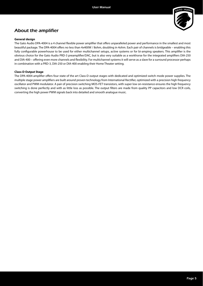

# About the amplifier

#### **General design**

The Gato Audio DPA-4004 is a 4 channel flexible power amplifier that offers unparalleled power and performance in the smallest and most beautiful package. The DPA-4004 offers no less than 4x400W / 8ohm, doubling in 4ohm. Each pair of channels is bridgeable – enabling this fully configurable powerhouse to be used for either multichannel setups, active systems or for bi-amping speakers. This amplifier is the obvious choice for the Gato Audio PRD-3 preamplifier/DAC, but is also very suitable as a workhorse for the integrated amplifiers DIA-250 and DIA-400 – offering even more channels and flexibility. For multichannel systems it will serve as a slave for a surround processor perhaps in combination with a PRD-3, DIA-250 or DIA-400 enabling their Home Theater setting.

#### **Class-D Output Stage**

The DPA-4004 amplifier offers four state of the art Class-D output stages with dedicated and optimized switch mode power supplies. The multiple stage power amplifiers are built around proven technology from International Rectifier, optimized with a precision high frequency oscillator and PWM modulator. A pair of precision switching MOS-FET transistors, with super low on-resistance ensures the high frequency switching is done perfectly and with as little loss as possible. The output filters are made from quality PP capacitors and low DCR coils, converting the high power PWM signals back into detailed and smooth analogue music.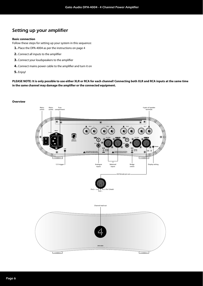# Setting up your amplifier

#### **Basic connection**

Follow these steps for setting up your system in this sequence:

- **1.** Place the DPA-4004 as per the instructions on page 4
- **2.** Connect all inputs to the amplifier
- **3.** Connect your loudspeakers to the amplifier
- **4**. Connect mains power cable to the amplifier and turn it on
- **5.** Enjoy!

**PLEASE NOTE: It is only possible to use either XLR or RCA for each channel! Connecting both XLR and RCA inputs at the same time** in the same channel may damage the amplifier or the connected equipment.

#### **Overview**

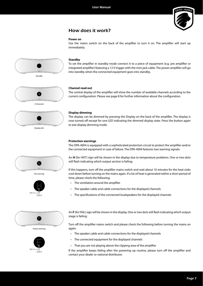

# How does it work?

#### **Power on**

Use the mains switch on the back of the amplifier to turn it on. The amplifier will start up immediately.

# Standby

#### **Standby**

To set the amplifier in standby mode connect it to a piece of equipment (e.g. pre amplifier or integrated amplifier) featuring a 12 V trigger with the mini jack cable. The power amplifier will go into standby when the connected equipment goes into standby.



#### 4 Channels



#### **Channel read out**

The central display of the amplifier will show the number of available channels according to the current configuration. Please see page 8 for further information about the configuration.

#### **Display dimming**

The display can be dimmed by pressing the Display on the back of the amplifier. The display is now turned off except for one LED indicating the dimmed display state. Press the button again to exit display dimming mode.

#### **Protection warnings**

The DPA-4004 is equipped with a sophisticated protection circuit to protect the amplifier and/or the connected equipment in case of failure. The DPA-4004 features two warning signals:



If this happens, turn off the amplifier mains switch and wait about 10 minutes for the heat sinks cool down before turning on the mains again. If a lot of heat is generated within a short period of time, please check the following:

- The ventilation around the amplifier
- The speaker cable and cable connections for the displayed channels
- The specifications of the connected loudspeakers for the displayed channels



Failure warning



An **F** (for FAIL) sign will be shown in the display. One or two dots will flash indicating which output stage is failing:

Turn off the amplifier mains switch and please check the following before turning the mains on again:

- The speaker cable and cable connections for the displayed channels
- The connected equipment for the displayed channels
- That you are not playing above the clipping area of the amplifier

If the amplifier keeps failing after the powering up routine, please turn off the amplifier and contact your dealer or national distributor.



Hot warning

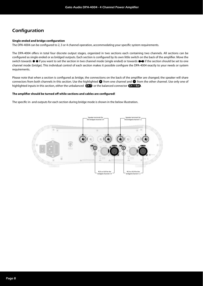# Configuration

#### **Single ended and bridge configuration**

The DPA-4004 can be configured to 2, 3 or 4 channel operation, accommodating your specific system requirements.

The DPA-4004 offers in total four discrete output stages, organized in two sections each containing two channels. All sections can be configured as single ended or as bridged outputs. Each section is configured by its own little switch on the back of the amplifier. Move the switch towards  $\bullet \bullet$  if you want to set the section in two channel mode (single ended) or towards  $\bullet \bullet$  if the section should be set to one channel mode (bridge). This individual control of each section makes it possible configure the DPA-4004 exactly to your needs or system requirements.

Please note that when a section is configured as bridge, the connections on the back of the amplifier are changed; the speaker will share connectors from both channels in this section. Use the highlighted  $\bullet$  from one channel and  $\bullet$  from the other channel. Use only one of highlighted inputs in this section, either the unbalanced  $\overline{G_{11}}$  or the balanced connector  $\overline{G_{11}}$  Bal).

#### The amplifier should be turned off while sections and cables are configured!

The specific in- and outputs for each section during bridge mode is shown in the below illustration.

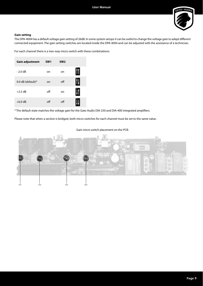

#### **Gain setting**

The DPA-4004 has a default voltage gain setting of 26dB. In some system setups it can be useful to change the voltage gain to adapt different connected equipment. The gain setting switches are located inside the DPA-4004 and can be adjusted with the assistance of a technician.

For each channel there is a two-way micro switch with these combinations:

| Gain adjustment      | SW <sub>1</sub> | SW <sub>2</sub> |    |
|----------------------|-----------------|-----------------|----|
| $-2.0$ dB            | on              | on              | ON |
| 0.0 dB (default) $*$ | <sub>on</sub>   | off             | ON |
| $+2.5$ dB            | off             | on              |    |
| $+6.0$ dB            | off             | off             |    |

\* The default state matches the voltage gain for the Gato Audio DIA-250 and DIA-400 integrated amplifiers.

Please note that when a section is bridged, both micro switches for each channel must be set to the same value.

Gain micro switch placement on the PCB:

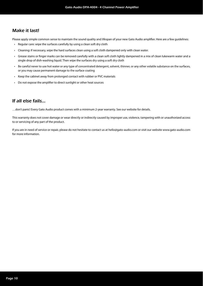## Make it last!

Please apply simple common sense to maintain the sound quality and lifespan of your new Gato Audio amplifier. Here are a few quidelines:

- Regular care: wipe the surfaces carefully by using a clean soft dry cloth
- Cleaning: if necessary, wipe the hard surfaces clean using a soft cloth dampened only with clean water.
- Grease stains or finger marks can be removed carefully with a clean soft cloth lightly dampened in a mix of clean lukewarm water and a single drop of dish-washing liquid. Then wipe the surfaces dry using a soft dry cloth
- Be careful never to use hot water or any type of concentrated detergent, solvent, thinner, or any other volatile substance on the surfaces, or you may cause permanent damage to the surface coating
- Keep the cabinet away from prolonged contact with rubber or PVC materials
- Do not expose the amplifier to direct sunlight or other heat sources

## If all else fails…

…don't panic! Every Gato Audio product comes with a minimum 2-year warranty. See our website for details.

This warranty does not cover damage or wear directly or indirectly caused by improper use, violence, tampering with or unauthorized access to or servicing of any part of the product.

If you are in need of service or repair, please do not hesitate to contact us at hello@gato-audio.com or visit our website www.gato-audio.com for more information.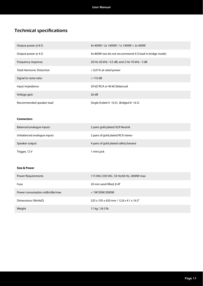# Technical specifications

| Output power @ $8 \Omega$        | $4x$ 400W / 2x 1400W / 1x 1400W + 2x 400W                     |
|----------------------------------|---------------------------------------------------------------|
| Output power @ $4 \Omega$        | 4x 800W (we do not reccommend 4 $\Omega$ load in bridge mode) |
| Frequency response               | 20 Hz-20 kHz - 0.5 dB, and 2 Hz-70 kHz - 3 dB                 |
| <b>Total Harmonic Distortion</b> | $<$ 0,01% at rated power                                      |
| Signal to noise ratio            | $>110$ dB                                                     |
| Input impedance                  | 20 k $\Omega$ RCA or 40 k $\Omega$ Balanced                   |
| Voltage gain                     | 26 dB                                                         |
| Recommended speaker load         | Single Ended 4 -16 $\Omega$ , Bridged 8 -16 $\Omega$          |

#### **Connectors**

| Balanced analogue inputs   | 2 pairs gold plated XLR Neutrik      |
|----------------------------|--------------------------------------|
| Unbalanced analogue inputs | 2 pairs of gold plated RCA stereo    |
| Speaker output             | 4 pairs of gold plated safety banana |
| Trigger, 12 V              | mini jack                            |

#### **Size & Power**

| <b>Power Requirements</b>       | 115 VAC/230 VAC, 50 Hz/60 Hz, 2000W max |
|---------------------------------|-----------------------------------------|
| Fuse                            | 20 mm sand-filled, 8 AT                 |
| Power consumption stdb/idle/max | < 1W/50W/2000W                          |
| Dimensions (WxHxD)              | 325 x 105 x 420 mm / 12.8 x 4.1 x 16.5" |
| Weight                          | 11 kg / 24.3 lb                         |